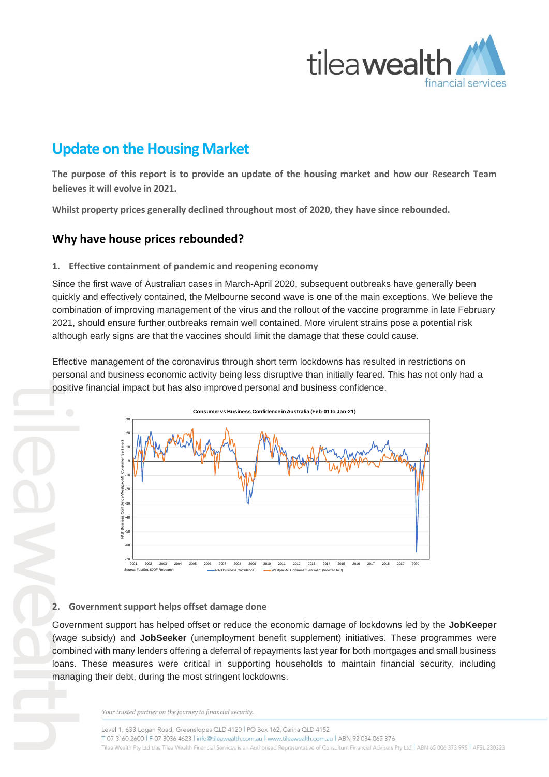

# **Update on the Housing Market**

**The purpose of this report is to provide an update of the housing market and how our Research Team believes it will evolve in 2021.**

**Whilst property prices generally declined throughout most of 2020, they have since rebounded.** 

# **Why have house prices rebounded?**

#### **1. Effective containment of pandemic and reopening economy**

Since the first wave of Australian cases in March-April 2020, subsequent outbreaks have generally been quickly and effectively contained, the Melbourne second wave is one of the main exceptions. We believe the combination of improving management of the virus and the rollout of the vaccine programme in late February 2021, should ensure further outbreaks remain well contained. More virulent strains pose a potential risk although early signs are that the vaccines should limit the damage that these could cause.

Effective management of the coronavirus through short term lockdowns has resulted in restrictions on personal and business economic activity being less disruptive than initially feared. This has not only had a positive financial impact but has also improved personal and business confidence.



### **2. Government support helps offset damage done**

Government support has helped offset or reduce the economic damage of lockdowns led by the **JobKeeper** (wage subsidy) and **JobSeeker** (unemployment benefit supplement) initiatives. These programmes were combined with many lenders offering a deferral of repayments last year for both mortgages and small business loans. These measures were critical in supporting households to maintain financial security, including managing their debt, during the most stringent lockdowns.

Your trusted partner on the journey to financial security.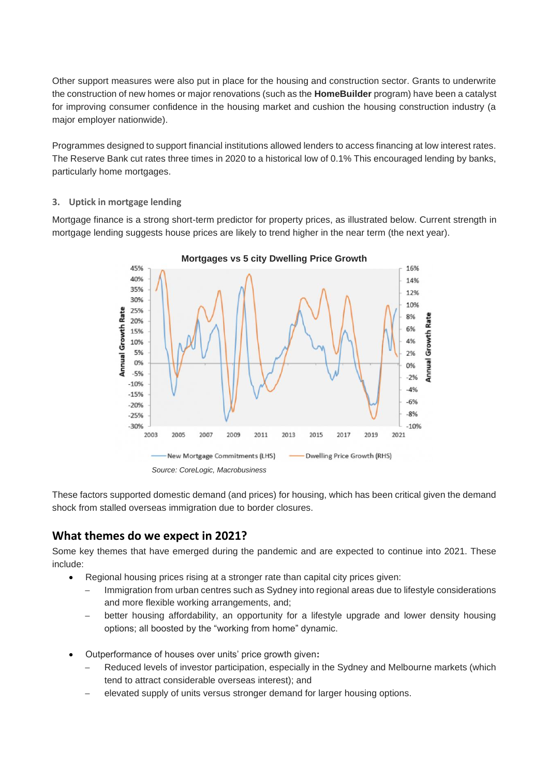Other support measures were also put in place for the housing and construction sector. Grants to underwrite the construction of new homes or major renovations (such as the **HomeBuilder** program) have been a catalyst for improving consumer confidence in the housing market and cushion the housing construction industry (a major employer nationwide).

Programmes designed to support financial institutions allowed lenders to access financing at low interest rates. The Reserve Bank cut rates three times in 2020 to a historical low of 0.1% This encouraged lending by banks, particularly home mortgages.

#### **3. Uptick in mortgage lending**

Mortgage finance is a strong short-term predictor for property prices, as illustrated below. Current strength in mortgage lending suggests house prices are likely to trend higher in the near term (the next year).



These factors supported domestic demand (and prices) for housing, which has been critical given the demand shock from stalled overseas immigration due to border closures.

### **What themes do we expect in 2021?**

Some key themes that have emerged during the pandemic and are expected to continue into 2021. These include:

- Regional housing prices rising at a stronger rate than capital city prices given:
	- Immigration from urban centres such as Sydney into regional areas due to lifestyle considerations and more flexible working arrangements, and;
	- − better housing affordability, an opportunity for a lifestyle upgrade and lower density housing options; all boosted by the "working from home" dynamic.
- Outperformance of houses over units' price growth given**:**
	- Reduced levels of investor participation, especially in the Sydney and Melbourne markets (which tend to attract considerable overseas interest); and
	- elevated supply of units versus stronger demand for larger housing options.